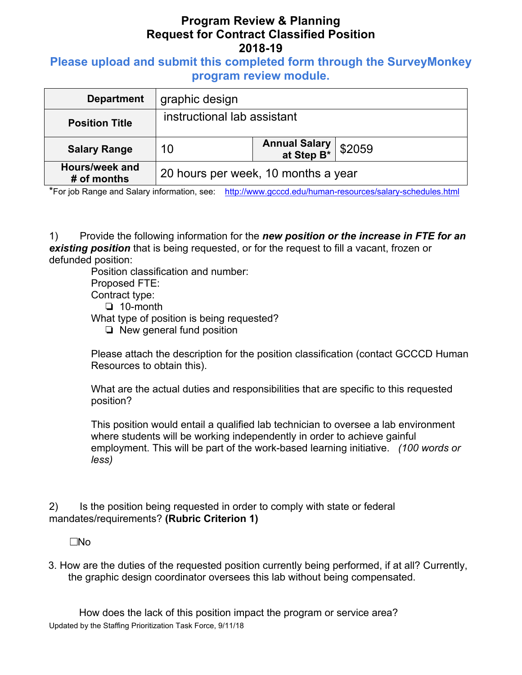## **Program Review & Planning Request for Contract Classified Position 2018-19**

### **Please upload and submit this completed form through the SurveyMonkey program review module.**

| <b>Department</b>             | graphic design                      |                                     |        |
|-------------------------------|-------------------------------------|-------------------------------------|--------|
| <b>Position Title</b>         | instructional lab assistant         |                                     |        |
| <b>Salary Range</b>           | 10                                  | <b>Annual Salary<br/>at Step B*</b> | \$2059 |
| Hours/week and<br># of months | 20 hours per week, 10 months a year |                                     |        |

\*For job Range and Salary information, see: http://www.gcccd.edu/human-resources/salary-schedules.html

1) Provide the following information for the *new position or the increase in FTE for an existing position* that is being requested, or for the request to fill a vacant, frozen or defunded position:

Position classification and number: Proposed FTE: Contract type: ❏ 10-month

What type of position is being requested?

❏ New general fund position

Please attach the description for the position classification (contact GCCCD Human Resources to obtain this).

What are the actual duties and responsibilities that are specific to this requested position?

This position would entail a qualified lab technician to oversee a lab environment where students will be working independently in order to achieve gainful employment. This will be part of the work-based learning initiative. *(100 words or less)* 

2) Is the position being requested in order to comply with state or federal mandates/requirements? **(Rubric Criterion 1)** 

 $\square$ No

3. How are the duties of the requested position currently being performed, if at all? Currently, the graphic design coordinator oversees this lab without being compensated.

Updated by the Staffing Prioritization Task Force, 9/11/18 How does the lack of this position impact the program or service area?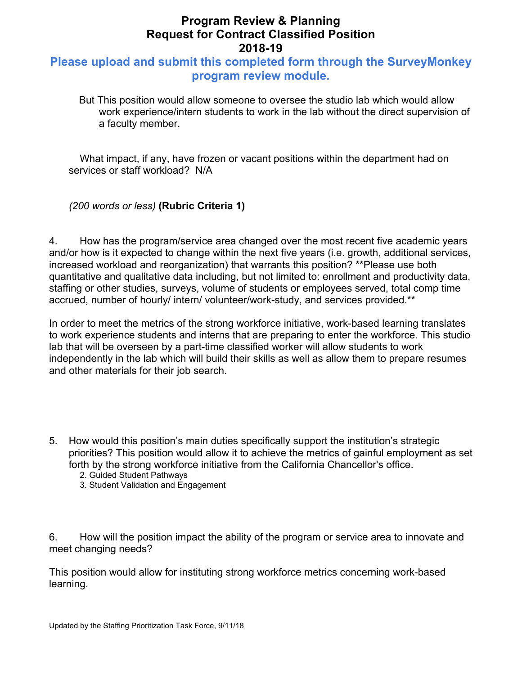## **Program Review & Planning Request for Contract Classified Position 2018-19**

### **Please upload and submit this completed form through the SurveyMonkey program review module.**

But This position would allow someone to oversee the studio lab which would allow work experience/intern students to work in the lab without the direct supervision of a faculty member.

What impact, if any, have frozen or vacant positions within the department had on services or staff workload? N/A

*(200 words or less)* **(Rubric Criteria 1)**

4. How has the program/service area changed over the most recent five academic years and/or how is it expected to change within the next five years (i.e. growth, additional services, increased workload and reorganization) that warrants this position? \*\*Please use both quantitative and qualitative data including, but not limited to: enrollment and productivity data, staffing or other studies, surveys, volume of students or employees served, total comp time accrued, number of hourly/ intern/ volunteer/work-study, and services provided.\*\*

In order to meet the metrics of the strong workforce initiative, work-based learning translates to work experience students and interns that are preparing to enter the workforce. This studio lab that will be overseen by a part-time classified worker will allow students to work independently in the lab which will build their skills as well as allow them to prepare resumes and other materials for their job search.

- 5. How would this position's main duties specifically support the institution's strategic priorities? This position would allow it to achieve the metrics of gainful employment as set forth by the strong workforce initiative from the California Chancellor's office.
	- 2. Guided Student Pathways
	- 3. Student Validation and Engagement

6. How will the position impact the ability of the program or service area to innovate and meet changing needs?

This position would allow for instituting strong workforce metrics concerning work-based learning.